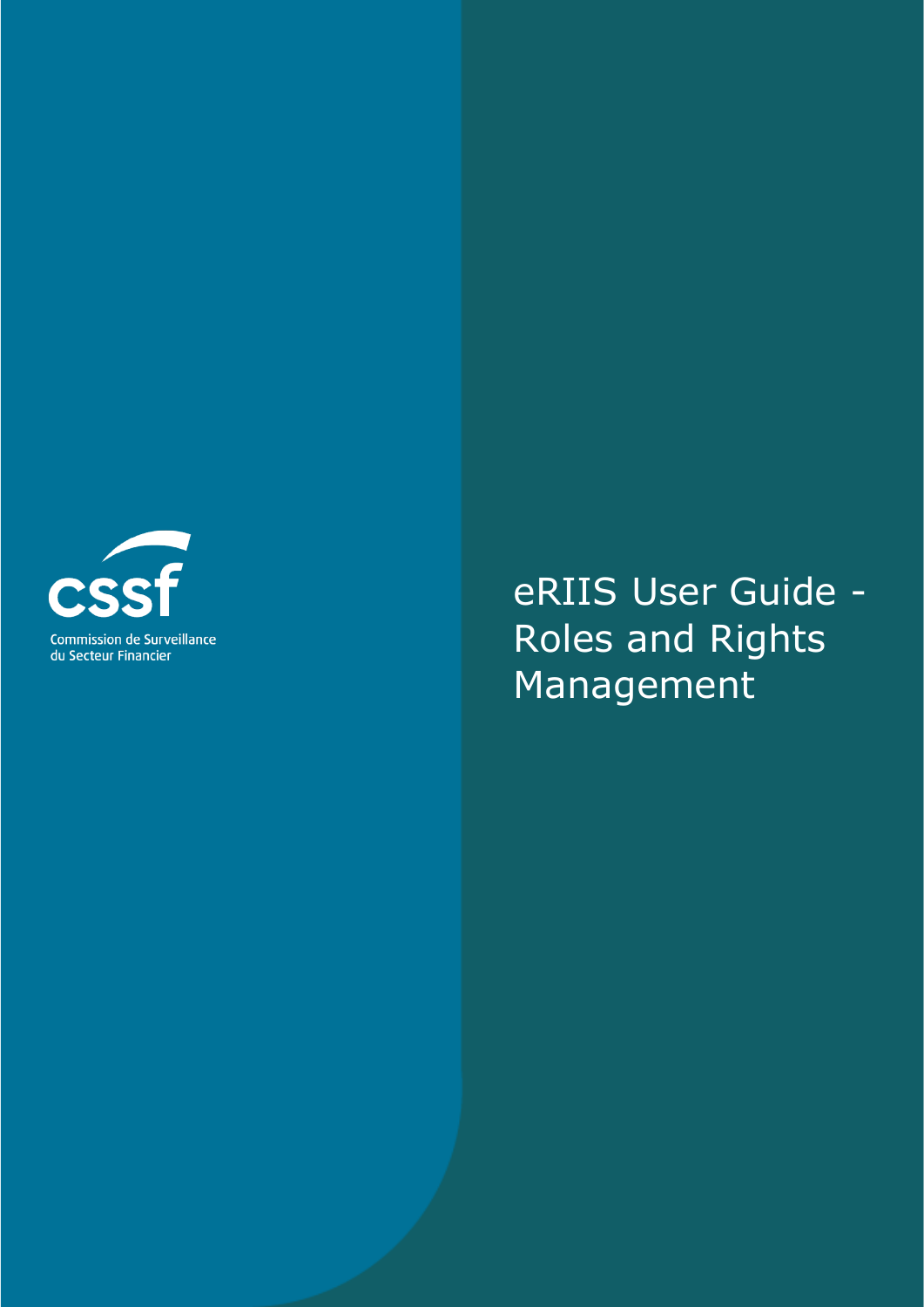

# eRIIS User Guide - Roles and Rights Management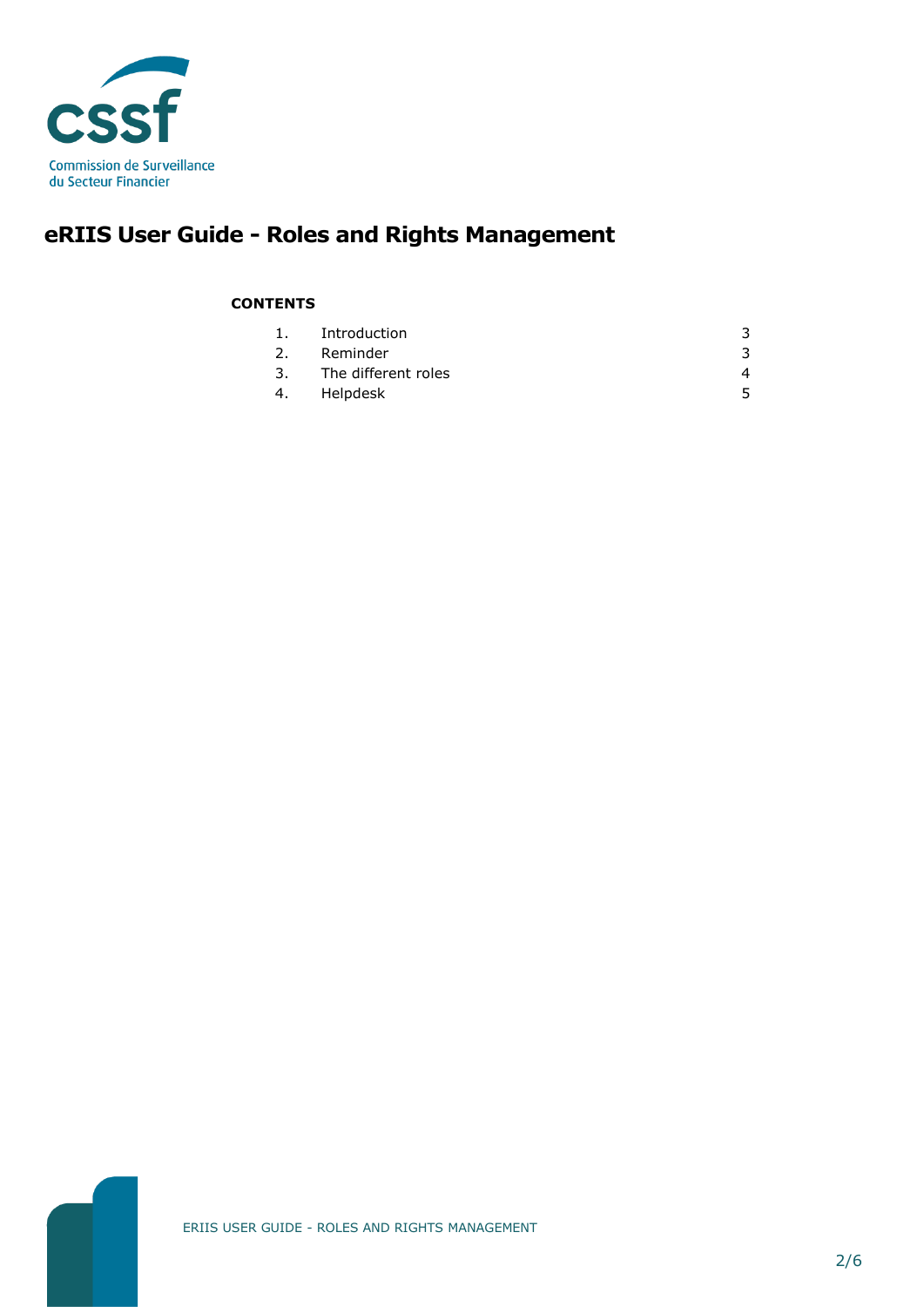

## **eRIIS User Guide - Roles and Rights Management**

#### **CONTENTS**

| 1. | Introduction           |  |
|----|------------------------|--|
| 2. | Reminder               |  |
|    | 3. The different roles |  |
| 4. | Helpdesk               |  |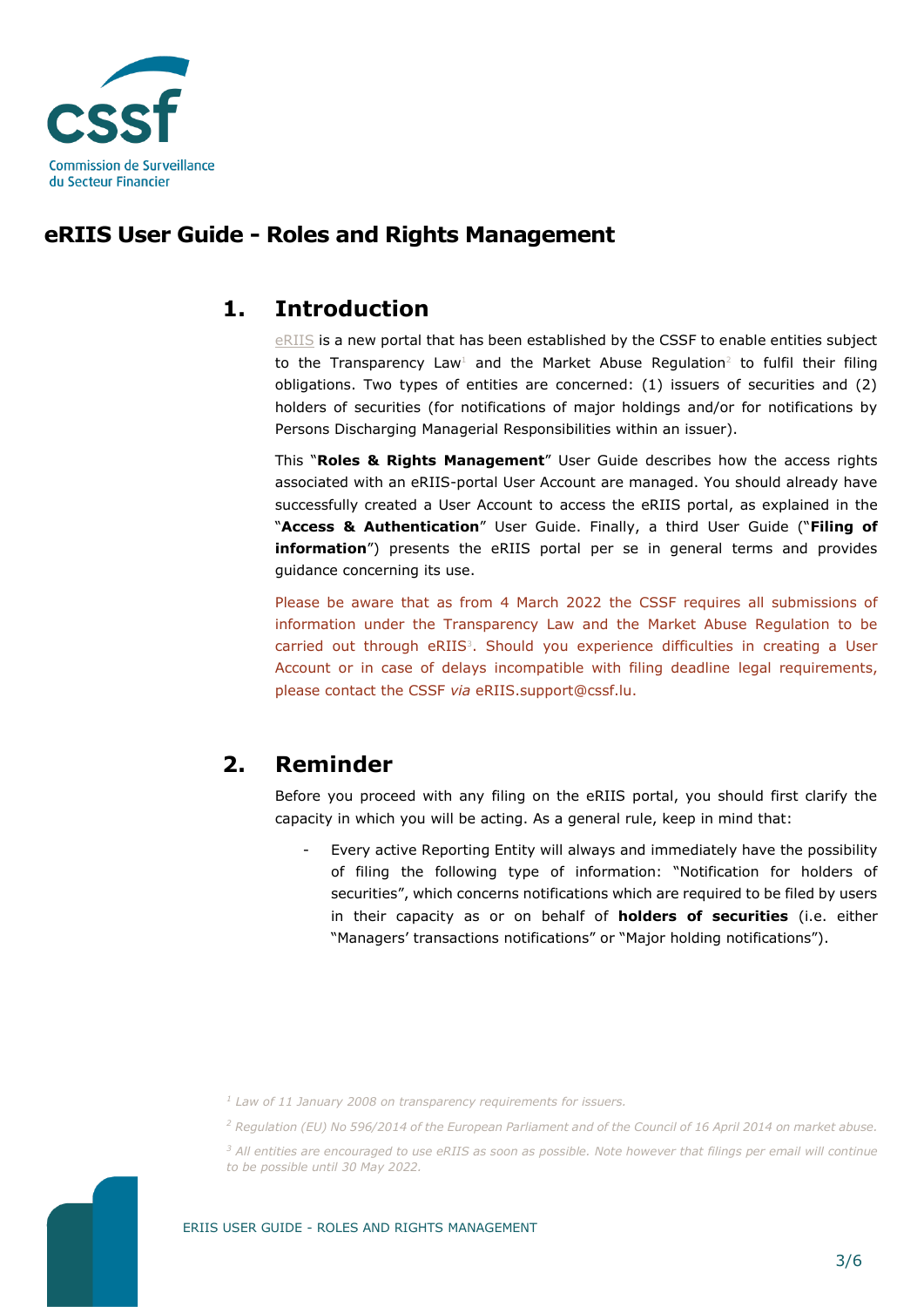

## **eRIIS User Guide - Roles and Rights Management**

#### <span id="page-2-0"></span>**1. Introduction**

[eRIIS](https://eriis.apps.cssf.lu/) is a new portal that has been established by the CSSF to enable entities subject to the Transparency Law<sup>1</sup> and the Market Abuse Regulation<sup>2</sup> to fulfil their filing obligations. Two types of entities are concerned: (1) issuers of securities and (2) holders of securities (for notifications of major holdings and/or for notifications by Persons Discharging Managerial Responsibilities within an issuer).

This "**Roles & Rights Management**" User Guide describes how the access rights associated with an eRIIS-portal User Account are managed. You should already have successfully created a User Account to access the eRIIS portal, as explained in the "**Access & Authentication**" User Guide. Finally, a third User Guide ("**Filing of information**") presents the eRIIS portal per se in general terms and provides guidance concerning its use.

Please be aware that as from 4 March 2022 the CSSF requires all submissions of information under the Transparency Law and the Market Abuse Regulation to be carried out through eRIIS<sup>3</sup>. Should you experience difficulties in creating a User Account or in case of delays incompatible with filing deadline legal requirements, please contact the CSSF *via* eRIIS.support@cssf.lu.

## <span id="page-2-1"></span>**2. Reminder**

Before you proceed with any filing on the eRIIS portal, you should first clarify the capacity in which you will be acting. As a general rule, keep in mind that:

Every active Reporting Entity will always and immediately have the possibility of filing the following type of information: "Notification for holders of securities", which concerns notifications which are required to be filed by users in their capacity as or on behalf of **holders of securities** (i.e. either "Managers' transactions notifications" or "Major holding notifications").

*<sup>1</sup> Law of 11 January 2008 on transparency requirements for issuers.*

*<sup>2</sup> Regulation (EU) No 596/2014 of the European Parliament and of the Council of 16 April 2014 on market abuse.*

*<sup>3</sup> All entities are encouraged to use eRIIS as soon as possible. Note however that filings per email will continue to be possible until 30 May 2022.*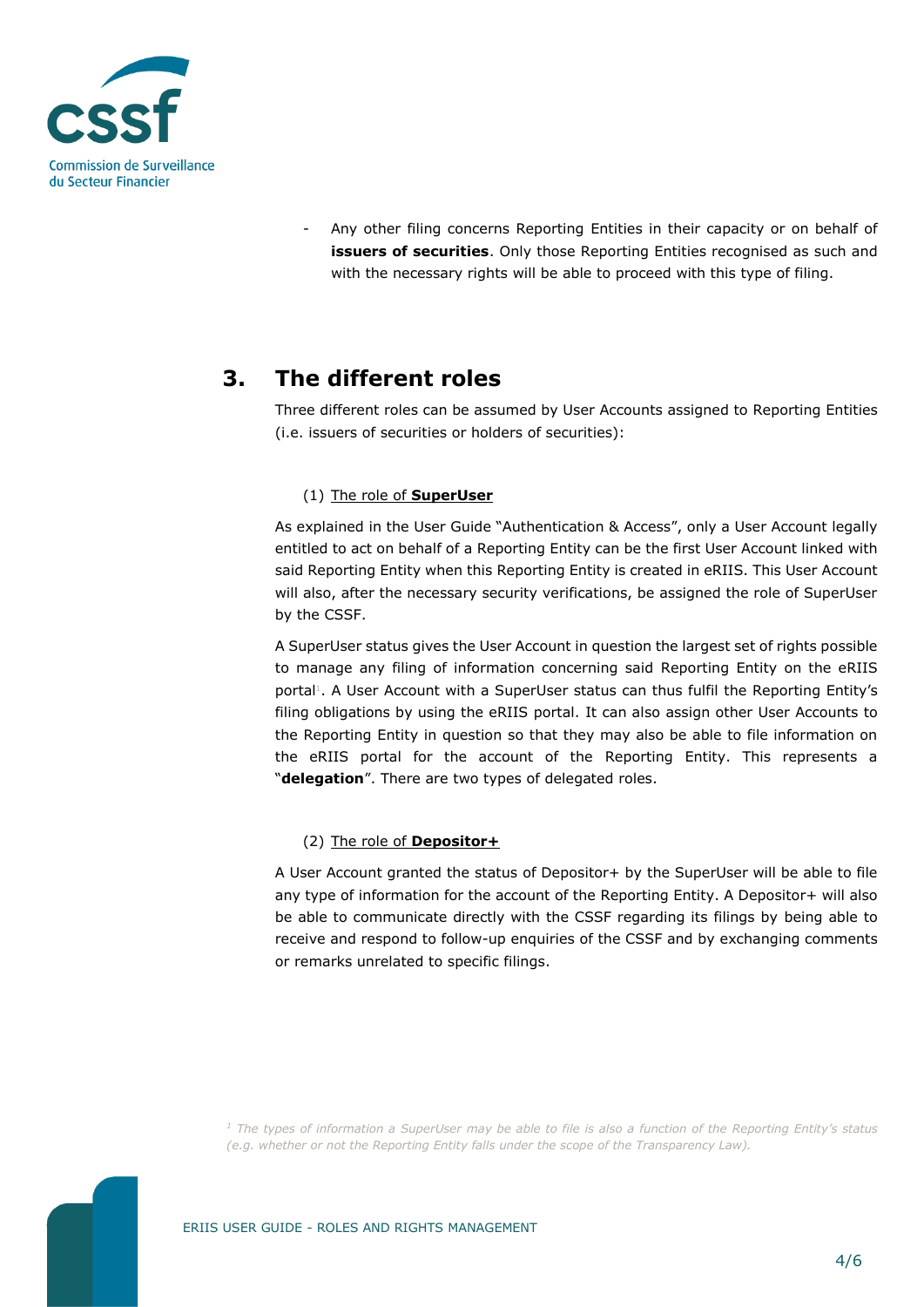

Any other filing concerns Reporting Entities in their capacity or on behalf of **issuers of securities**. Only those Reporting Entities recognised as such and with the necessary rights will be able to proceed with this type of filing.

## <span id="page-3-0"></span>**3. The different roles**

Three different roles can be assumed by User Accounts assigned to Reporting Entities (i.e. issuers of securities or holders of securities):

#### (1) The role of **SuperUser**

As explained in the User Guide "Authentication & Access", only a User Account legally entitled to act on behalf of a Reporting Entity can be the first User Account linked with said Reporting Entity when this Reporting Entity is created in eRIIS. This User Account will also, after the necessary security verifications, be assigned the role of SuperUser by the CSSF.

A SuperUser status gives the User Account in question the largest set of rights possible to manage any filing of information concerning said Reporting Entity on the eRIIS portal<sup>1</sup>. A User Account with a SuperUser status can thus fulfil the Reporting Entity's filing obligations by using the eRIIS portal. It can also assign other User Accounts to the Reporting Entity in question so that they may also be able to file information on the eRIIS portal for the account of the Reporting Entity. This represents a "**delegation**". There are two types of delegated roles.

#### (2) The role of **Depositor+**

A User Account granted the status of Depositor+ by the SuperUser will be able to file any type of information for the account of the Reporting Entity. A Depositor+ will also be able to communicate directly with the CSSF regarding its filings by being able to receive and respond to follow-up enquiries of the CSSF and by exchanging comments or remarks unrelated to specific filings.

*<sup>1</sup> The types of information a SuperUser may be able to file is also a function of the Reporting Entity's status (e.g. whether or not the Reporting Entity falls under the scope of the Transparency Law).*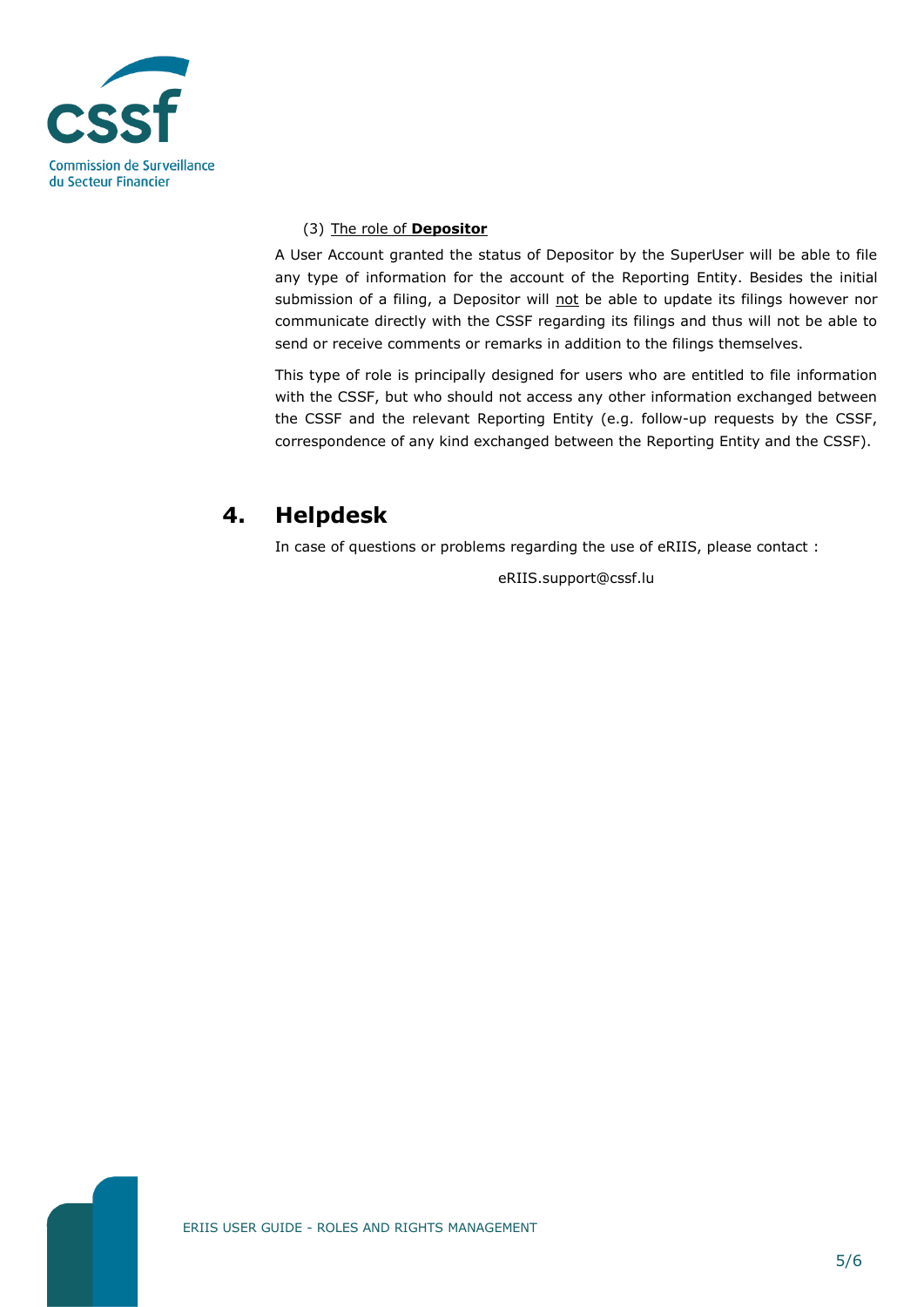

#### (3) The role of **Depositor**

A User Account granted the status of Depositor by the SuperUser will be able to file any type of information for the account of the Reporting Entity. Besides the initial submission of a filing, a Depositor will not be able to update its filings however nor communicate directly with the CSSF regarding its filings and thus will not be able to send or receive comments or remarks in addition to the filings themselves.

This type of role is principally designed for users who are entitled to file information with the CSSF, but who should not access any other information exchanged between the CSSF and the relevant Reporting Entity (e.g. follow-up requests by the CSSF, correspondence of any kind exchanged between the Reporting Entity and the CSSF).

## <span id="page-4-0"></span>**4. Helpdesk**

In case of questions or problems regarding the use of eRIIS, please contact :

eRIIS.support@cssf.lu